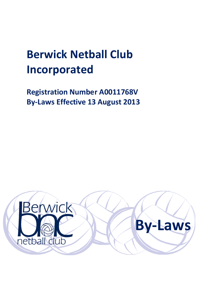# **Berwick Netball Club Incorporated**

**Registration Number A0011768V By-Laws Effective 13 August 2013**

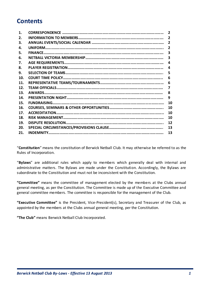# **Contents**

| $\mathbf{1}$ . | $\overline{2}$          |
|----------------|-------------------------|
| 2.             | $\overline{2}$          |
| З.             | $\overline{2}$          |
| 4.             | $\overline{2}$          |
| 5.             | 3                       |
| 6.             | $\overline{\mathbf{3}}$ |
| 7.             | 4                       |
| 8.             | 4                       |
| 9.             | 5                       |
| 10.            | 6                       |
| 11.            | 6                       |
| 12.            | 7                       |
| 13.            | 8                       |
| 14.            | 9                       |
| 15.            | 10                      |
| 16.            | 10                      |
| 17.            | 10                      |
| 18.            | 10                      |
| 19.            | 12                      |
| 20.            | 13                      |
| 21.            | 13                      |

"**Constitution**" means the constitution of Berwick Netball Club. It may otherwise be referred to as the Rules of Incorporation.

"**Bylaws**" are additional rules which apply to members which generally deal with internal and administrative matters. The Bylaws are made under the Constitution. Accordingly, the Bylaws are subordinate to the Constitution and must not be inconsistent with the Constitution.

**"Committee"** means the committee of management elected by the members at the Clubs annual general meeting, as per the Constitution. The Committee is made up of the Executive Committee and general committee members. The committee is responsible for the management of the Club.

**"Executive Committee"** is the President, Vice-President(s), Secretary and Treasurer of the Club, as appointed by the members at the Clubs annual general meeting, per the Constitution.

**"The Club"** means Berwick Netball Club Incorporated.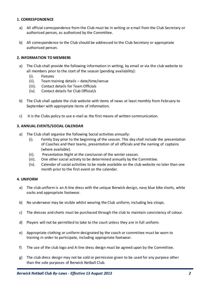# **1. CORRESPONDENCE**

- a) All official correspondence from the Club must be in writing or email from the Club Secretary or authorised person, as authorised by the Committee.
- b) All correspondence to the Club should be addressed to the Club Secretary or appropriate authorised person.

# **2. INFORMATION TO MEMBERS**

- a) The Club shall provide the following information in writing, by email or via the club website to all members prior to the start of the season (pending availability):
	- (i). Fixtures
	- (ii). Team training details date/time/venue
	- (iii). Contact details for Team Officials
	- (iv). Contact details for Club Official/s
- b) The Club shall update the club website with items of news at least monthly from February to September with appropriate items of information.
- c) It is the Clubs policy to use e-mail as the first means of written communication.

# **3. ANNUAL EVENTS/SOCIAL CALENDAR**

- a) The Club shall organise the following Social activities annually:
	- (i). Family Day prior to the beginning of the season. This day shall include the presentation of Coaches and their teams, presentation of all officials and the naming of captains (where available).
	- (ii). Presentation Night at the conclusion of the winter season.
	- (iii). One other social activity to be determined annually by the Committee.
	- (iv). Calendar of social activities to be made available on the club website no later than one month prior to the first event on the calendar.

#### **4. UNIFORM**

- a) The club uniform is an A-line dress with the unique Berwick design, navy blue bike shorts, white socks and appropriate footwear.
- b) No underwear may be visible whilst wearing the Club uniform, including bra straps.
- c) The dresses and shorts must be purchased through the club to maintain consistency of colour.
- d) Players will not be permitted to take to the court unless they are in full uniform.
- e) Appropriate clothing or uniform designated by the coach or committee must be worn to training in order to participate, including appropriate footwear.
- f) The use of the club logo and A-line dress design must be agreed upon by the Committee.
- g) The club dress design may not be sold or permission given to be used for any purpose other than the sole purposes of Berwick Netball Club.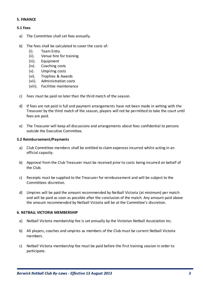#### **5. FINANCE**

#### **5.1 Fees**

- a) The Committee shall set fees annually.
- b) The fees shall be calculated to cover the costs of:
	- (i). Team Entry
	- (ii). Venue hire for training
	- (iii). Equipment
	- (iv). Coaching costs
	- (v). Umpiring costs
	- (vi). Trophies & Awards
	- (vii). Administration costs
	- (viii). Facilities maintenance
- c) Fees must be paid no later than the third match of the season.
- d) If fees are not paid in full and payment arrangements have not been made in writing with the Treasurer by the third match of the season, players will not be permitted to take the court until fees are paid.
- e) The Treasurer will keep all discussions and arrangements about fees confidential to persons outside the Executive Committee.

#### **5.2 Reimbursement/Payments**

- a) Club Committee members shall be entitled to claim expenses incurred whilst acting in an official capacity.
- b) Approval from the Club Treasurer must be received prior to costs being incurred on behalf of the Club.
- c) Receipts must be supplied to the Treasurer for reimbursement and will be subject to the Committees discretion.
- d) Umpires will be paid the amount recommended by Netball Victoria (at minimum) per match and will be paid as soon as possible after the conclusion of the match. Any amount paid above the amount recommended by Netball Victoria will be at the Committee's discretion.

#### **6. NETBALL VICTORIA MEMBERSHIP**

- a) Netball Victoria membership fee is set annually by the Victorian Netball Association Inc.
- b) All players, coaches and umpires as members of the Club must be current Netball Victoria members.
- c) Netball Victoria membership fee must be paid before the first training session in order to participate.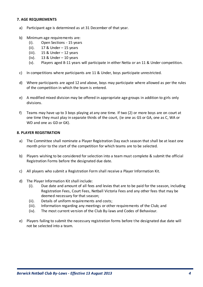# **7. AGE REQUIREMENTS**

- a) Participant age is determined as at 31 December of that year.
- b) Minimum age requirements are:
	- (i). Open Sections 15 years
	- (ii). 17 & Under 15 years
	- (iii).  $15 \&$  Under  $-12$  years
	- (iv).  $13 \&$  Under 10 years
	- (v). Players aged 8-11 years will participate in either Netta or an 11 & Under competition.
- c) In competitions where participants are 11 & Under, boys participate unrestricted.
- d) Where participants are aged 12 and above, boys may participate where allowed as per the rules of the competition in which the team is entered.
- e) A modified mixed division may be offered in appropriate age groups in addition to girls only divisions.
- f) Teams may have up to 3 boys playing at any one time. If two (2) or more boys are on court at one time they must play in separate thirds of the court, (ie one as GS or GA, one as C, WA or WD and one as GD or GK).

#### **8. PLAYER REGISTRATION**

- a) The Committee shall nominate a Player Registration Day each season that shall be at least one month prior to the start of the competition for which teams are to be selected.
- b) Players wishing to be considered for selection into a team must complete & submit the official Registration Forms before the designated due date.
- c) All players who submit a Registration Form shall receive a Player Information Kit.
- d) The Player Information Kit shall include:
	- (i). Due date and amount of all fees and levies that are to be paid for the season, including Registration Fees, Court Fees, Netball Victoria Fees and any other fees that may be deemed necessary for that season;
	- (ii). Details of uniform requirements and costs;
	- (iii). Information regarding any meetings or other requirements of the Club; and
	- (iv). The most current version of the Club By-laws and Codes of Behaviour.
- e) Players failing to submit the necessary registration forms before the designated due date will not be selected into a team.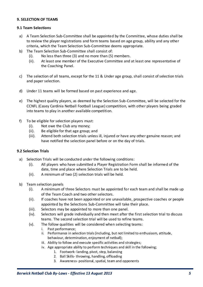# **9. SELECTION OF TEAMS**

# **9.1 Team Selections**

- a) A Team Selection Sub-Committee shall be appointed by the Committee, whose duties shall be to review the player registrations and form teams based on age group, ability and any other criteria, which the Team Selection Sub-Committee deems appropriate.
- b) The Team Selection Sub-Committee shall consist of:
	- (i). No less than three (3) and no more than (5) members.
	- (ii). At least one member of the Executive Committee and at least one representative of the Coaching Panel.
- c) The selection of all teams, except for the 11 & Under age group, shall consist of selection trials and paper selection.
- d) Under 11 teams will be formed based on past experience and age.
- e) The highest quality players, as deemed by the Selection Sub-Committee, will be selected for the CCNFL (Casey Cardinia Netball Football League) competition, with other players being graded into teams to play in another available competition.
- f) To be eligible for selection players must:
	- (i). Not owe the Club any money;
	- (ii). Be eligible for that age group; and
	- (iii). Attend both selection trials unless ill, injured or have any other genuine reason; and have notified the selection panel before or on the day of trials.

#### **9.2 Selection Trials**

- a) Selection Trials will be conducted under the following conditions:
	- (i). All players who have submitted a Player Registration Form shall be informed of the date, time and place where Selection Trials are to be held.
	- (ii). A minimum of two (2) selection trials will be held.
- b) Team selection panels
	- (i). A minimum of three Selectors must be appointed for each team and shall be made up of the Team Coach and two other selectors.
	- (ii). If coaches have not been appointed or are unavailable, prospective coaches or people appointed by the Selections Sub-Committee will take their place.
	- (iii). Selectors may be appointed to more than one panel.
	- (iv). Selectors will grade individually and then meet after the first selection trial to discuss teams. The second selection trial will be used to refine teams.
	- (v). The follow qualities will be considered when selecting teams:
		- i. Past performance;
		- ii. Performance in selection trials (including, but not limited to enthusiasm, attitude, behaviour, determination, enjoyment of netball);
		- iii. Ability to follow and execute specific activities and strategies;
		- iv. Age appropriate ability to perform techniques and skill in the following;
			- 1. Footwork-landing, pivot, step, balancing
			- 2. Ball Skills- throwing, handling, offloading
			- 3. Awareness- positional, spatial, team and opponents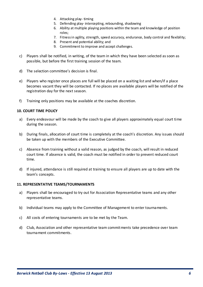- 4. Attacking play- timing
- 5. Defending play- intercepting, rebounding, shadowing
- 6. Ability at multiple playing positions within the team and knowledge of position roles;
- 7. Fitness in agility, strength, speed accuracy, endurance, body control and flexibility;
- 8. Present and potential ability; and
- 9. Commitment to improve and accept challenges.
- c) Players shall be notified, in writing, of the team in which they have been selected as soon as possible, but before the first training session of the team.
- d) The selection committee's decision is final.
- e) Players who register once places are full will be placed on a waiting list and when/if a place becomes vacant they will be contacted. If no places are available players will be notified of the registration day for the next season.
- f) Training only positions may be available at the coaches discretion.

# **10. COURT TIME POLICY**

- a) Every endeavour will be made by the coach to give all players approximately equal court time during the season.
- b) During finals, allocation of court time is completely at the coach's discretion. Any issues should be taken up with the members of the Executive Committee.
- c) Absence from training without a valid reason, as judged by the coach, will result in reduced court time. If absence is valid, the coach must be notified in order to prevent reduced court time.
- d) If injured, attendance is still required at training to ensure all players are up to date with the team's concepts.

#### **11. REPRESENTATIVE TEAMS/TOURNAMENTS**

- a) Players shall be encouraged to try out for Association Representative teams and any other representative teams.
- b) Individual teams may apply to the Committee of Management to enter tournaments.
- c) All costs of entering tournaments are to be met by the Team.
- d) Club, Association and other representative team commitments take precedence over team tournament commitments.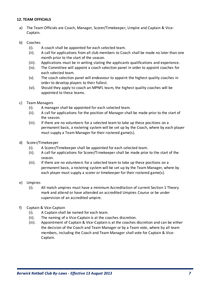# **12. TEAM OFFICIALS**

a) The Team Officials are Coach, Manager, Scorer/Timekeeper, Umpire and Captain & Vice-Captain.

# b) Coaches

- (i). A coach shall be appointed for each selected team.
- (ii). A call for applications from all club members to Coach shall be made no later than one month prior to the start of the season.
- (iii). Applications must be in writing stating the applicants qualifications and experience.
- (iv). The Committee will appoint a coach selection panel in order to appoint coaches for each selected team.
- (v). The coach selection panel will endeavour to appoint the highest quality coaches in order to develop players to their fullest.
- (vi). Should they apply to coach an MPNFL team, the highest quality coaches will be appointed to these teams.
- c) Team Managers
	- (i). A manager shall be appointed for each selected team.
	- (ii). A call for applications for the position of Manager shall be made prior to the start of the season.
	- (iii). If there are no volunteers for a selected team to take up these positions on a permanent basis, a rostering system will be set up by the Coach, where by each player must supply a Team Manager for their rostered game(s).
- d) Scorer/Timekeeper
	- (i). A Scorer/Timekeeper shall be appointed for each selected team.
	- (ii). A call for applications for Scorer/Timekeeper shall be made prior to the start of the season.
	- (iii). If there are no volunteers for a selected team to take up these positions on a permanent basis, a rostering system will be set up by the Team Manager, where by each player must supply a scorer or timekeeper for their rostered game(s).
- e) Umpires
	- (i). All match umpires must have a minimum Accreditation of current Section 1 Theory mark and attend or have attended an accredited Umpires Course or be under supervision of an accredited umpire.
- f) Captain & Vice-Captain
	- (i). A Captain shall be named for each team.
	- (ii). The naming of a Vice-Captain is at the coaches discretion.
	- (iii). Appointment of Captain & Vice-Captain is at the coaches discretion and can be either the decision of the Coach and Team Manager or by a Team vote, where by all team members, including the Coach and Team Manager shall vote for Captain & Vice-Captain.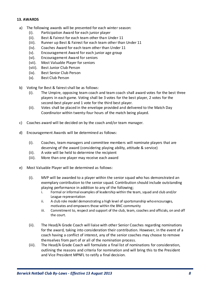# **13. AWARDS**

- a) The following awards will be presented for each winter season:
	- (i). Participation Award for each junior player
	- (ii). Best & Fairest for each team other than Under 11
	- (iii). Runner up Best & Fairest for each team other than Under 11
	- (iv). Coaches Award for each team other than Under 11
	- (v). Encouragement Award for each junior age group
	- (vi). Encouragement Award for seniors
	- (vii). Most Valuable Player for seniors
	- (viii). Best Junior Club Person
	- (ix). Best Senior Club Person
	- (x). Best Club Person
- b) Voting for Best & fairest shall be as follows:
	- (i). The Umpire, opposing team coach and team coach shall award votes for the best three players in each game. Voting shall be 3 votes for the best player, 2 votes for the second-best player and 1 vote for the third best player.
	- (ii). Votes shall be placed in the envelope provided and delivered to the Match Day Coordinator within twenty-four hours of the match being played.
- c) Coaches award will be decided on by the coach and/or team manager.
- d) Encouragement Awards will be determined as follows:
	- (i). Coaches, team managers and committee members will nominate players that are deserving of the award (considering playing ability, attitude & service)
	- (ii). A vote will be held to determine the recipient
	- (iii). More than one player may receive each award
- e) Most Valuable Player will be determined as follows:
	- (i). MVP will be awarded to a player within the senior squad who has demonstrated an exemplary contribution to the senior squad. Contribution should include outstanding playing performance in addition to any of the following;
		- i. Formal or informal examples of leadership within the team, squad and club and/or League representation
		- ii. A club role model demonstrating a high level of sportsmanship who encourages, motivates and empowers those within the BNC community
		- iii. Commitment to, respect and support of the club, team, coaches and officials, on and off the court.
	- (ii). The Head/A Grade Coach will liaise with other Senior Coaches regarding nominations for the award, taking into consideration their contribution. However, in the event of a coach having a conflict of interest, any of the senior coaches may choose to remove themselves from part of or all of the nomination process.
	- (iii). The Head/A Grade Coach will formulate a final list of nominations for consideration, outlining the reasons and criteria for nomination and will bring this to the President and Vice President MPNFL to ratify a final decision.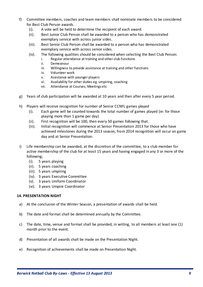- f) Committee members, coaches and team members shall nominate members to be considered for Best Club Person awards.
	- (i). A vote will be held to determine the recipient of each award.
	- (ii). Best Junior Club Person shall be awarded to a person who has demonstrated exemplary service with across junior sides.
	- (iii). Best Senior Club Person shall be awarded to a person who has demonstrated exemplary service with across senior sides.
	- (iv). The following qualities should be considered when selecting the Best Club Person:
		- i. Regular attendance at training and other club functions
		- ii. Demeanour
		- iii. Willingness to provide assistance at training and other functions
		- iv. Volunteer work
		- v. Assistance with younger players
		- vi. Availability for other duties eg. umpiring, coaching
		- vii. Attendance at Courses, Meetings etc
- g) Years of club participation will be awarded at 10 years and then after every 5 year period.
- h) Players will receive recognition for number of Senior CCNFL games played
	- (i). Each game will be counted towards the total number of games played (ie: for those playing more than 1 game per day)
	- (ii). First recognition will be 100, then every 50 games following that.
	- (iii). Initial recognition will commence at Senior Presentation 2013 for those who have achieved milestones during the 2013 season, from 2014 recognition will occur on game day and at Senior Presentation.
- i) Life membership can be awarded, at the discretion of the committee, to a club member for active membership of the club for at least 15 years and having engaged in any 3 or more of the following;
	- (i). 5 years playing
	- (ii). 5 years coaching
	- (iii). 5 years umpiring
	- (iv). 3 years Executive Committee
	- (v). 3 years Uniform Coordinator
	- (vi). 3 years Umpire Coordinator

#### **14. PRESENTATION NIGHT**

- a) At the conclusion of the Winter Season, a presentation of awards shall be held.
- b) The date and format shall be determined annually by the Committee.
- c) The date, time, venue and format shall be provided, in writing, to all members at least one (1) month prior to the event.
- d) Presentation of all awards shall be made on the Presentation Night.
- e) Recognition of achievements shall be made on Presentation Night.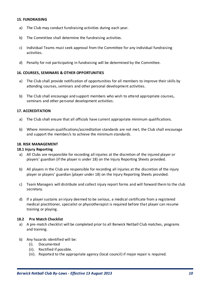#### **15. FUNDRAISING**

- a) The Club may conduct fundraising activities during each year.
- b) The Committee shall determine the fundraising activities.
- c) Individual Teams must seek approval from the Committee for any individual fundraising activities.
- d) Penalty for not participating in fundraising will be determined by the Committee.

#### **16. COURSES, SEMINARS & OTHER OPPORTUNITIES**

- a) The Club shall provide notification of opportunities for all members to improve their skills by attending courses, seminars and other personal development activities.
- b) The Club shall encourage and support members who wish to attend appropriate courses, seminars and other personal development activities.

#### **17. ACCREDITATION**

- a) The Club shall ensure that all officials have current appropriate minimum qualifications.
- b) Where minimum qualifications/accreditation standards are not met, the Club shall encourage and support the member/s to achieve the minimum standards.

#### **18. RISK MANAGEMENT**

#### **18.1 Injury Reporting**

- a) All Clubs are responsible for recording all injuries at the discretion of the injured player or players' guardian (if the player is under 18) on the Injury Reporting Sheets provided.
- b) All players in the Club are responsible for recording all injuries at the discretion of the injury player or players' guardian (player under 18) on the Injury Reporting Sheets provided.
- c) Team Managers will distribute and collect injury report forms and will forward them to the club secretary.
- d) If a player sustains an injury deemed to be serious, a medical certificate from a registered medical practitioner, specialist or physiotherapist is required before that player can resume training or playing.

#### **18.2 Pre Match Checklist**

- a) A pre-match checklist will be completed prior to all Berwick Netball Club matches, programs and training.
- b) Any hazards identified will be:
	- (i). Documented
	- (ii). Rectified if possible.
	- (iii). Reported to the appropriate agency (local council) if major repair is required.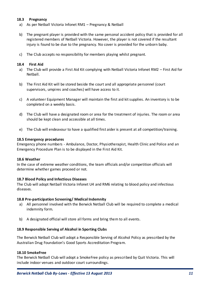# **18.3 Pregnancy**

- a) As per Netball Victoria Infonet RM1 Pregnancy & Netball
- b) The pregnant player is provided with the same personal accident policy that is provided for all registered members of Netball Victoria. However, the player is not covered if the resultant injury is found to be due to the pregnancy. No cover is provided for the unborn baby.
- c) The Club accepts no responsibility for members playing whilst pregnant.

# **18.4 First Aid**

- a) The Club will provide a First Aid Kit complying with Netball Victoria Infonet RM2 First Aid for Netball.
- b) The First Aid Kit will be stored beside the court and all appropriate personnel (court supervisors, umpires and coaches) will have access to it.
- c) A volunteer Equipment Manager will maintain the first aid kit supplies. An inventory is to be completed on a weekly basis.
- d) The Club will have a designated room or area for the treatment of injuries. The room or area should be kept clean and accessible at all times.
- e) The Club will endeavour to have a qualified first aider is present at all competition/training.

#### **18.5 Emergency procedures**

Emergency phone numbers - Ambulance, Doctor, Physiotherapist, Health Clinic and Police and an Emergency Procedure Plan is to be displayed in the First Aid Kit.

#### **18.6 Weather**

In the case of extreme weather conditions, the team officials and/or competition officials will determine whether games proceed or not.

#### **18.7 Blood Policy and Infectious Diseases**

The Club will adopt Netball Victoria Infonet U4 and RM6 relating to blood policy and infectious diseases.

#### **18.8 Pre-participation Screening/ Medical Indemnity**

- a) All personnel involved with the Berwick Netball Club will be required to complete a medical indemnity form.
- b) A designated official will store all forms and bring them to all events.

# **18.9 Responsible Serving of Alcohol in Sporting Clubs**

The Berwick Netball Club will adopt a Responsible Serving of Alcohol Policy as prescribed by the Australian Drug Foundation's Good Sports Accreditation Program.

#### **18.10 SmokeFree**

The Berwick Netball Club will adopt a SmokeFree policy as prescribed by Quit Victoria. This will include indoor venues and outdoor court surroundings.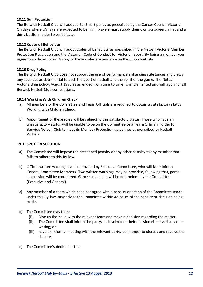# **18.11 Sun Protection**

The Berwick Netball Club will adopt a SunSmart policy as pres cribed by the Cancer Council Victoria. On days where UV rays are expected to be high, players must supply their own sunscreen, a hat and a drink bottle in order to participate.

# **18.12 Codes of Behaviour**

The Berwick Netball Club will adopt Codes of Behaviour as prescribed in the Netball Victoria Member Protection Regulation and the Victorian Code of Conduct for Victorian Sport. By being a member you agree to abide by codes. A copy of these codes are available on the Club's website.

# **18.13 Drug Policy**

The Berwick Netball Club does not support the use of performance enhancing substances and views any such use as detrimental to both the sport of netball and the spirit of the game. The Netball Victoria drug policy, August 1993 as amended from time to time, is implemented and will apply for all Berwick Netball Club competitions.

# **18.14 Working With Children Check**

- a) All members of the Committee and Team Officials are required to obtain a satisfactory status Working with Children Check.
- b) Appointment of these roles will be subject to this satisfactory status. Those who have an unsatisfactory status will be unable to be on the Committee or a Team Official in order for Berwick Netball Club to meet its Member Protection guidelines as prescribed by Netball Victoria.

# **19. DISPUTE RESOLUTION**

- a) The Committee will impose the prescribed penalty or any other penalty to any member that fails to adhere to this By-law.
- b) Official written warnings can be provided by Executive Committee, who will later inform General Committee Members. Two written warnings may be provided, following that, game suspension will be considered. Game suspension will be determined by the Committee (Executive and General).
- c) Any member of a team which does not agree with a penalty or action of the Committee made under this By-law, may advise the Committee within 48 hours of the penalty or decision being made.
- d) The Committee may then:
	- (i). Discuss the issue with the relevant team and make a decision regarding the matter.
	- (ii). The Committee shall inform the party/ies involved of their decision either verbally or in writing; or
	- (iii). have an informal meeting with the relevant party/ies in order to discuss and resolve the dispute.
- e) The Committee's decision is final.